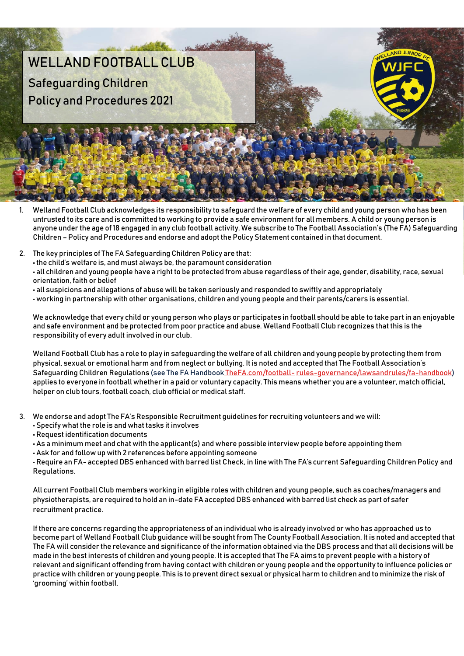## WELLAND FOOTBALL CLUB Safeguarding Children Policy and Procedures 2021

- Welland Football Club acknowledges its responsibility to safeguard the welfare of every child and young person who has been untrusted to its care and is committed to working to provide a safe environment for all members. A child or young person is anyone under the age of 18 engaged in any club football activity. We subscribe to The Football Association's (The FA) Safeguarding Children – Policy and Procedures and endorse and adopt the Policy Statement contained in that document.
- 2. The key principles of The FA Safeguarding Children Policy are that: • the child's welfare is, and must always be, the paramount consideration • all children and young people have a right to be protected from abuse regardless of their age, gender, disability, race, sexual orientation, faith or belief
	- all suspicions and allegations of abuse will be taken seriously and responded to swiftly and appropriately
	- working in partnership with other organisations, children and young people and their parents/carers is essential.

We acknowledge that every child or young person who plays or participates in football should be able to take part in an enjoyable and safe environment and be protected from poor practice and abuse. Welland Football Club recognizes that this is the responsibility of every adult involved in our club.

Welland Football Club has a role to play in safeguarding the welfare of all children and young people by protecting them from physical, sexual or emotional harm and from neglect or bullying. It is noted and accepted that The Football Association's Safeguarding Children Regulations (see The FA Handbook The FA.com/football- rules-governance/lawsandrules/fa-handbook) applies to everyone in football whether in a paid or voluntary capacity. This means whether you are a volunteer, match official, helper on club tours, football coach, club official or medical staff.

- 3. We endorse and adopt The FA's Responsible Recruitment guidelines for recruiting volunteers and we will:
	- Specify what the role is and what tasks it involves
	- Request identification documents
	- As a minimum meet and chat with the applicant(s) and where possible interview people before appointing them
	- Ask for and follow up with 2 references before appointing someone

• Require an FA- accepted DBS enhanced with barred list Check, in line with The FA's current Safeguarding Children Policy and Regulations.

All current Football Club members working in eligible roles with children and young people, such as coaches/managers and physiotherapists, are required to hold an in-date FA accepted DBS enhanced with barred list check as part of safer recruitment practice.

If there are concerns regarding the appropriateness of an individual who is already involved or who has approached us to become part of Welland Football Club guidance will be sought from The County Football Association. It is noted and accepted that The FA will consider the relevance and significance of the information obtained via the DBS process and that all decisions will be made in the best interests of children and young people. It is accepted that The FA aims to prevent people with a history of relevant and significant offending from having contact with children or young people and the opportunity to influence policies or practice with children or young people. This is to prevent direct sexual or physical harm to children and to minimize the risk of 'grooming' within football.